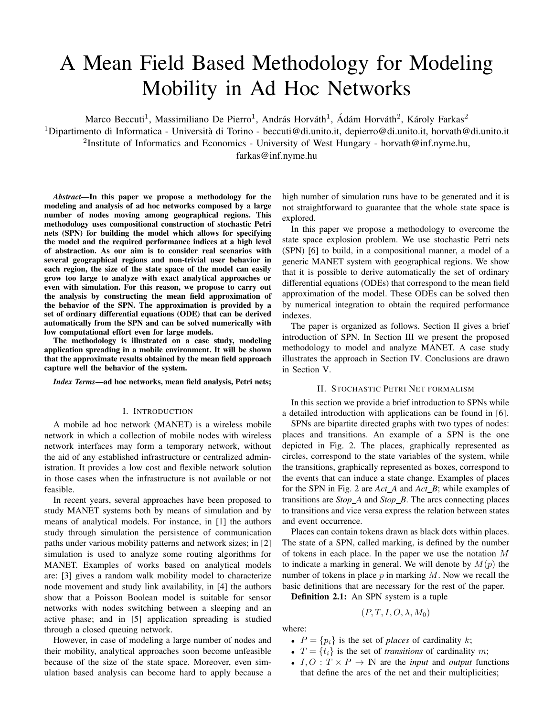# A Mean Field Based Methodology for Modeling Mobility in Ad Hoc Networks

Marco Beccuti<sup>1</sup>, Massimiliano De Pierro<sup>1</sup>, András Horváth<sup>1</sup>, Ádám Horváth<sup>2</sup>, Károly Farkas<sup>2</sup> <sup>1</sup>Dipartimento di Informatica - Università di Torino - beccuti@di.unito.it, depierro@di.unito.it, horvath@di.unito.it <sup>2</sup>Institute of Informatics and Economics - University of West Hungary - horvath@inf.nyme.hu,

farkas@inf.nyme.hu

*Abstract*—In this paper we propose a methodology for the modeling and analysis of ad hoc networks composed by a large number of nodes moving among geographical regions. This methodology uses compositional construction of stochastic Petri nets (SPN) for building the model which allows for specifying the model and the required performance indices at a high level of abstraction. As our aim is to consider real scenarios with several geographical regions and non-trivial user behavior in each region, the size of the state space of the model can easily grow too large to analyze with exact analytical approaches or even with simulation. For this reason, we propose to carry out the analysis by constructing the mean field approximation of the behavior of the SPN. The approximation is provided by a set of ordinary differential equations (ODE) that can be derived automatically from the SPN and can be solved numerically with low computational effort even for large models.

The methodology is illustrated on a case study, modeling application spreading in a mobile environment. It will be shown that the approximate results obtained by the mean field approach capture well the behavior of the system.

*Index Terms*—ad hoc networks, mean field analysis, Petri nets;

#### I. INTRODUCTION

A mobile ad hoc network (MANET) is a wireless mobile network in which a collection of mobile nodes with wireless network interfaces may form a temporary network, without the aid of any established infrastructure or centralized administration. It provides a low cost and flexible network solution in those cases when the infrastructure is not available or not feasible.

In recent years, several approaches have been proposed to study MANET systems both by means of simulation and by means of analytical models. For instance, in [1] the authors study through simulation the persistence of communication paths under various mobility patterns and network sizes; in [2] simulation is used to analyze some routing algorithms for MANET. Examples of works based on analytical models are: [3] gives a random walk mobility model to characterize node movement and study link availability, in [4] the authors show that a Poisson Boolean model is suitable for sensor networks with nodes switching between a sleeping and an active phase; and in [5] application spreading is studied through a closed queuing network.

However, in case of modeling a large number of nodes and their mobility, analytical approaches soon become unfeasible because of the size of the state space. Moreover, even simulation based analysis can become hard to apply because a high number of simulation runs have to be generated and it is not straightforward to guarantee that the whole state space is explored.

In this paper we propose a methodology to overcome the state space explosion problem. We use stochastic Petri nets (SPN) [6] to build, in a compositional manner, a model of a generic MANET system with geographical regions. We show that it is possible to derive automatically the set of ordinary differential equations (ODEs) that correspond to the mean field approximation of the model. These ODEs can be solved then by numerical integration to obtain the required performance indexes.

The paper is organized as follows. Section II gives a brief introduction of SPN. In Section III we present the proposed methodology to model and analyze MANET. A case study illustrates the approach in Section IV. Conclusions are drawn in Section V.

## II. STOCHASTIC PETRI NET FORMALISM

In this section we provide a brief introduction to SPNs while a detailed introduction with applications can be found in [6].

SPNs are bipartite directed graphs with two types of nodes: places and transitions. An example of a SPN is the one depicted in Fig. 2. The places, graphically represented as circles, correspond to the state variables of the system, while the transitions, graphically represented as boxes, correspond to the events that can induce a state change. Examples of places for the SPN in Fig. 2 are *Act A* and *Act B*; while examples of transitions are *Stop A* and *Stop B*. The arcs connecting places to transitions and vice versa express the relation between states and event occurrence.

Places can contain tokens drawn as black dots within places. The state of a SPN, called marking, is defined by the number of tokens in each place. In the paper we use the notation *M* to indicate a marking in general. We will denote by *M*(*p*) the number of tokens in place *p* in marking *M*. Now we recall the basic definitions that are necessary for the rest of the paper.

Definition 2.1: An SPN system is a tuple

$$
(P, T, I, O, \lambda, M_0)
$$

where:

- $P = \{p_i\}$  is the set of *places* of cardinality *k*;
- $T = \{t_i\}$  is the set of *transitions* of cardinality *m*;
- $I, O: T \times P \rightarrow \mathbb{N}$  are the *input* and *output* functions that define the arcs of the net and their multiplicities;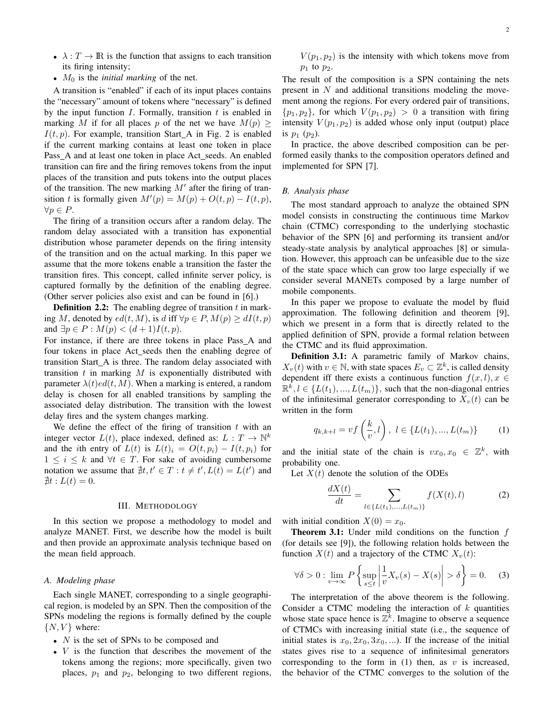- $\lambda : T \to \mathbb{R}$  is the function that assigns to each transition its firing intensity;
- *• M*<sup>0</sup> is the *initial marking* of the net.

A transition is "enabled" if each of its input places contains the "necessary" amount of tokens where "necessary" is defined by the input function *I*. Formally, transition *t* is enabled in marking *M* if for all places *p* of the net we have  $M(p) \geq$  $I(t, p)$ . For example, transition Start A in Fig. 2 is enabled if the current marking contains at least one token in place Pass\_A and at least one token in place Act\_seeds. An enabled transition can fire and the firing removes tokens from the input places of the transition and puts tokens into the output places of the transition. The new marking *M′* after the firing of transition *t* is formally given  $M'(p) = M(p) + O(t, p) - I(t, p)$ , *∀p ∈ P*.

The firing of a transition occurs after a random delay. The random delay associated with a transition has exponential distribution whose parameter depends on the firing intensity of the transition and on the actual marking. In this paper we assume that the more tokens enable a transition the faster the transition fires. This concept, called infinite server policy, is captured formally by the definition of the enabling degree. (Other server policies also exist and can be found in [6].)

Definition 2.2: The enabling degree of transition *t* in marking *M*, denoted by *ed*(*t, M*), is *d* iff *∀p ∈ P, M*(*p*) *≥ dI*(*t, p*) and  $∃p ∈ P : M(p) < (d+1)I(t, p)$ .

For instance, if there are three tokens in place Pass\_A and four tokens in place Act seeds then the enabling degree of transition Start\_A is three. The random delay associated with transition *t* in marking *M* is exponentially distributed with parameter  $\lambda(t) e d(t, M)$ . When a marking is entered, a random delay is chosen for all enabled transitions by sampling the associated delay distribution. The transition with the lowest delay fires and the system changes marking.

We define the effect of the firing of transition *t* with an integer vector  $L(t)$ , place indexed, defined as:  $L: T \to \mathbb{N}^k$ and the *i*th entry of  $L(t)$  is  $L(t)_i = O(t, p_i) - I(t, p_i)$  for  $1 \leq i \leq k$  and  $\forall t \in T$ . For sake of avoiding cumbersome notation we assume that  $\exists t, t' \in T : t \neq t', L(t) = L(t')$  and  $\exists t : L(t) = 0.$ 

# III. METHODOLOGY

In this section we propose a methodology to model and analyze MANET. First, we describe how the model is built and then provide an approximate analysis technique based on the mean field approach.

## *A. Modeling phase*

Each single MANET, corresponding to a single geographical region, is modeled by an SPN. Then the composition of the SPNs modeling the regions is formally defined by the couple  $\{N, V\}$  where:

- *• N* is the set of SPNs to be composed and
- *• V* is the function that describes the movement of the tokens among the regions; more specifically, given two places,  $p_1$  and  $p_2$ , belonging to two different regions,

 $V(p_1, p_2)$  is the intensity with which tokens move from  $p_1$  to  $p_2$ .

The result of the composition is a SPN containing the nets present in *N* and additional transitions modeling the movement among the regions. For every ordered pair of transitions,  $\{p_1, p_2\}$ , for which  $V(p_1, p_2) > 0$  a transition with firing intensity  $V(p_1, p_2)$  is added whose only input (output) place is  $p_1$  ( $p_2$ ).

In practice, the above described composition can be performed easily thanks to the composition operators defined and implemented for SPN [7].

#### *B. Analysis phase*

The most standard approach to analyze the obtained SPN model consists in constructing the continuous time Markov chain (CTMC) corresponding to the underlying stochastic behavior of the SPN [6] and performing its transient and/or steady-state analysis by analytical approaches [8] or simulation. However, this approach can be unfeasible due to the size of the state space which can grow too large especially if we consider several MANETs composed by a large number of mobile components.

In this paper we propose to evaluate the model by fluid approximation. The following definition and theorem [9], which we present in a form that is directly related to the applied definition of SPN, provide a formal relation between the CTMC and its fluid approximation.

Definition 3.1: A parametric family of Markov chains,  $X_v(t)$  with  $v \in \mathbb{N}$ , with state spaces  $E_v \subset \mathbb{Z}^k$ , is called density dependent iff there exists a continuous function  $f(x, l), x \in$  $\mathbb{R}^k, l \in \{L(t_1),..., L(t_m)\},$  such that the non-diagonal entries of the infinitesimal generator corresponding to  $X<sub>v</sub>(t)$  can be written in the form

$$
q_{k,k+l} = vf\left(\frac{k}{v}, l\right), \ l \in \{L(t_1), ..., L(t_m)\} \tag{1}
$$

and the initial state of the chain is  $vx_0, x_0 \in \mathbb{Z}^k$ , with probability one.

Let  $X(t)$  denote the solution of the ODEs

$$
\frac{dX(t)}{dt} = \sum_{l \in \{L(t_1), \dots, L(t_m)\}} f(X(t), l) \tag{2}
$$

with initial condition  $X(0) = x_0$ .

Theorem 3.1: Under mild conditions on the function *f* (for details see [9]), the following relation holds between the function  $X(t)$  and a trajectory of the CTMC  $X<sub>v</sub>(t)$ :

$$
\forall \delta > 0 : \lim_{v \to \infty} P\left\{ \sup_{s \le t} \left| \frac{1}{v} X_v(s) - X(s) \right| > \delta \right\} = 0. \tag{3}
$$

The interpretation of the above theorem is the following. Consider a CTMC modeling the interaction of *k* quantities whose state space hence is  $\mathbb{Z}^k$ . Imagine to observe a sequence of CTMCs with increasing initial state (i.e., the sequence of initial states is  $x_0, 2x_0, 3x_0, \ldots$ ). If the increase of the initial states gives rise to a sequence of infinitesimal generators corresponding to the form in  $(1)$  then, as  $v$  is increased, the behavior of the CTMC converges to the solution of the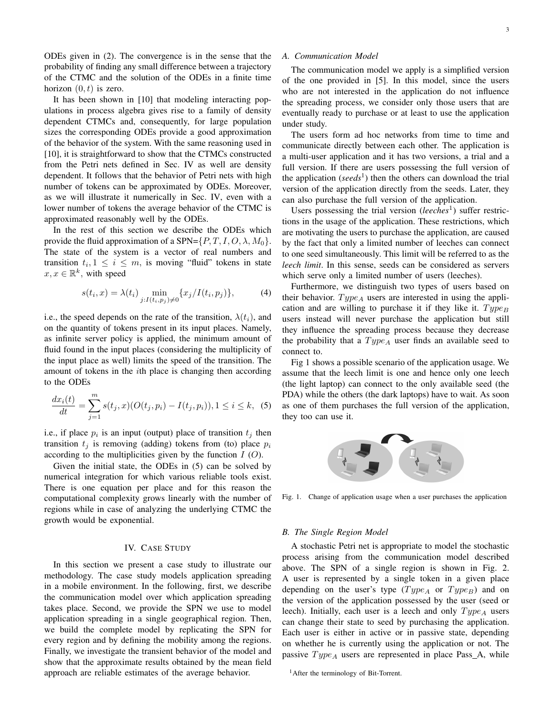ODEs given in (2). The convergence is in the sense that the probability of finding any small difference between a trajectory of the CTMC and the solution of the ODEs in a finite time horizon  $(0, t)$  is zero.

It has been shown in [10] that modeling interacting populations in process algebra gives rise to a family of density dependent CTMCs and, consequently, for large population sizes the corresponding ODEs provide a good approximation of the behavior of the system. With the same reasoning used in [10], it is straightforward to show that the CTMCs constructed from the Petri nets defined in Sec. IV as well are density dependent. It follows that the behavior of Petri nets with high number of tokens can be approximated by ODEs. Moreover, as we will illustrate it numerically in Sec. IV, even with a lower number of tokens the average behavior of the CTMC is approximated reasonably well by the ODEs.

In the rest of this section we describe the ODEs which provide the fluid approximation of a SPN= $\{P, T, I, O, \lambda, M_0\}$ . The state of the system is a vector of real numbers and transition  $t_i, 1 \leq i \leq m$ , is moving "fluid" tokens in state  $x, x \in \mathbb{R}^k$ , with speed

$$
s(t_i, x) = \lambda(t_i) \min_{j: I(t_i, p_j) \neq 0} \{x_j / I(t_i, p_j)\},\tag{4}
$$

i.e., the speed depends on the rate of the transition,  $\lambda(t_i)$ , and on the quantity of tokens present in its input places. Namely, as infinite server policy is applied, the minimum amount of fluid found in the input places (considering the multiplicity of the input place as well) limits the speed of the transition. The amount of tokens in the *i*th place is changing then according to the ODEs

$$
\frac{dx_i(t)}{dt} = \sum_{j=1}^m s(t_j, x)(O(t_j, p_i) - I(t_j, p_i)), 1 \le i \le k, \tag{5}
$$

i.e., if place  $p_i$  is an input (output) place of transition  $t_j$  then transition  $t_i$  is removing (adding) tokens from (to) place  $p_i$ according to the multiplicities given by the function *I* (*O*).

Given the initial state, the ODEs in (5) can be solved by numerical integration for which various reliable tools exist. There is one equation per place and for this reason the computational complexity grows linearly with the number of regions while in case of analyzing the underlying CTMC the growth would be exponential.

# IV. CASE STUDY

In this section we present a case study to illustrate our methodology. The case study models application spreading in a mobile environment. In the following, first, we describe the communication model over which application spreading takes place. Second, we provide the SPN we use to model application spreading in a single geographical region. Then, we build the complete model by replicating the SPN for every region and by defining the mobility among the regions. Finally, we investigate the transient behavior of the model and show that the approximate results obtained by the mean field approach are reliable estimates of the average behavior.

#### *A. Communication Model*

The communication model we apply is a simplified version of the one provided in [5]. In this model, since the users who are not interested in the application do not influence the spreading process, we consider only those users that are eventually ready to purchase or at least to use the application under study.

The users form ad hoc networks from time to time and communicate directly between each other. The application is a multi-user application and it has two versions, a trial and a full version. If there are users possessing the full version of the application (*seeds*<sup>1</sup> ) then the others can download the trial version of the application directly from the seeds. Later, they can also purchase the full version of the application.

Users possessing the trial version (leeches<sup>1</sup>) suffer restrictions in the usage of the application. These restrictions, which are motivating the users to purchase the application, are caused by the fact that only a limited number of leeches can connect to one seed simultaneously. This limit will be referred to as the *leech limit*. In this sense, seeds can be considered as servers which serve only a limited number of users (leeches).

Furthermore, we distinguish two types of users based on their behavior.  $Type_A$  users are interested in using the application and are willing to purchase it if they like it. *T ype<sup>B</sup>* users instead will never purchase the application but still they influence the spreading process because they decrease the probability that a  $Type_A$  user finds an available seed to connect to.

Fig 1 shows a possible scenario of the application usage. We assume that the leech limit is one and hence only one leech (the light laptop) can connect to the only available seed (the PDA) while the others (the dark laptops) have to wait. As soon as one of them purchases the full version of the application, they too can use it.



Fig. 1. Change of application usage when a user purchases the application

#### *B. The Single Region Model*

A stochastic Petri net is appropriate to model the stochastic process arising from the communication model described above. The SPN of a single region is shown in Fig. 2. A user is represented by a single token in a given place depending on the user's type  $(Type_A \text{ or } Type_B)$  and on the version of the application possessed by the user (seed or leech). Initially, each user is a leech and only *T ype<sup>A</sup>* users can change their state to seed by purchasing the application. Each user is either in active or in passive state, depending on whether he is currently using the application or not. The passive *T ype<sup>A</sup>* users are represented in place Pass A, while

<sup>&</sup>lt;sup>1</sup>After the terminology of Bit-Torrent.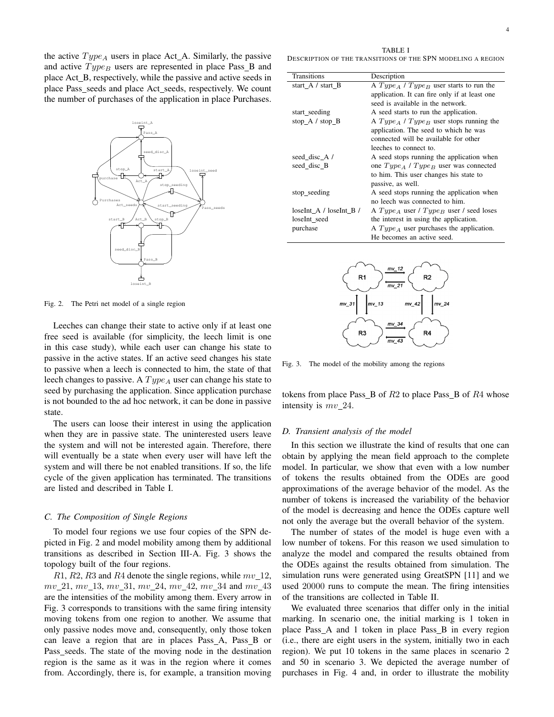the active  $Type_A$  users in place Act<sub>A</sub>. Similarly, the passive and active *Type<sub>B</sub>* users are represented in place Pass\_B and place Act<sub>R</sub>, respectively, while the passive and active seeds in place Pass\_seeds and place Act\_seeds, respectively. We count the number of purchases of the application in place Purchases.



Fig. 2. The Petri net model of a single region

Leeches can change their state to active only if at least one free seed is available (for simplicity, the leech limit is one in this case study), while each user can change his state to passive in the active states. If an active seed changes his state to passive when a leech is connected to him, the state of that leech changes to passive. A *T ype<sup>A</sup>* user can change his state to seed by purchasing the application. Since application purchase is not bounded to the ad hoc network, it can be done in passive state.

The users can loose their interest in using the application when they are in passive state. The uninterested users leave the system and will not be interested again. Therefore, there will eventually be a state when every user will have left the system and will there be not enabled transitions. If so, the life cycle of the given application has terminated. The transitions are listed and described in Table I.

## *C. The Composition of Single Regions*

To model four regions we use four copies of the SPN depicted in Fig. 2 and model mobility among them by additional transitions as described in Section III-A. Fig. 3 shows the topology built of the four regions.

*R*1, *R*2, *R*3 and *R*4 denote the single regions, while *mv* 12, *mv* 21, *mv* 13, *mv* 31, *mv* 24, *mv* 42, *mv* 34 and *mv* 43 are the intensities of the mobility among them. Every arrow in Fig. 3 corresponds to transitions with the same firing intensity moving tokens from one region to another. We assume that only passive nodes move and, consequently, only those token can leave a region that are in places Pass\_A, Pass\_B or Pass\_seeds. The state of the moving node in the destination region is the same as it was in the region where it comes from. Accordingly, there is, for example, a transition moving

| <b>Transitions</b>        | Description                                   |
|---------------------------|-----------------------------------------------|
| start A / start B         | A $Type_A$ / $Type_B$ user starts to run the  |
|                           | application. It can fire only if at least one |
|                           | seed is available in the network.             |
| start_seeding             | A seed starts to run the application.         |
| stop_A / $stop_B$         | A $Type_A$ / $Type_B$ user stops running the  |
|                           | application. The seed to which he was         |
|                           | connected will be available for other         |
|                           | leeches to connect to.                        |
| seed_disc_A /             | A seed stops running the application when     |
| seed_disc B               | one $Type_A$ / $Type_B$ user was connected    |
|                           | to him. This user changes his state to        |
|                           | passive, as well.                             |
| stop seeding              | A seed stops running the application when     |
|                           | no leech was connected to him.                |
| $loselnt_A / loselnt_B /$ | A $Type_A$ user / $Type_B$ user / seed loses  |
| loseInt seed              | the interest in using the application.        |
| purchase                  | A $Type_A$ user purchases the application.    |
|                           | He becomes an active seed.                    |



Fig. 3. The model of the mobility among the regions

tokens from place Pass B of *R*2 to place Pass B of *R*4 whose intensity is  $mv_2$ -24.

## *D. Transient analysis of the model*

In this section we illustrate the kind of results that one can obtain by applying the mean field approach to the complete model. In particular, we show that even with a low number of tokens the results obtained from the ODEs are good approximations of the average behavior of the model. As the number of tokens is increased the variability of the behavior of the model is decreasing and hence the ODEs capture well not only the average but the overall behavior of the system.

The number of states of the model is huge even with a low number of tokens. For this reason we used simulation to analyze the model and compared the results obtained from the ODEs against the results obtained from simulation. The simulation runs were generated using GreatSPN [11] and we used 20000 runs to compute the mean. The firing intensities of the transitions are collected in Table II.

We evaluated three scenarios that differ only in the initial marking. In scenario one, the initial marking is 1 token in place Pass A and 1 token in place Pass B in every region (i.e., there are eight users in the system, initially two in each region). We put 10 tokens in the same places in scenario 2 and 50 in scenario 3. We depicted the average number of purchases in Fig. 4 and, in order to illustrate the mobility